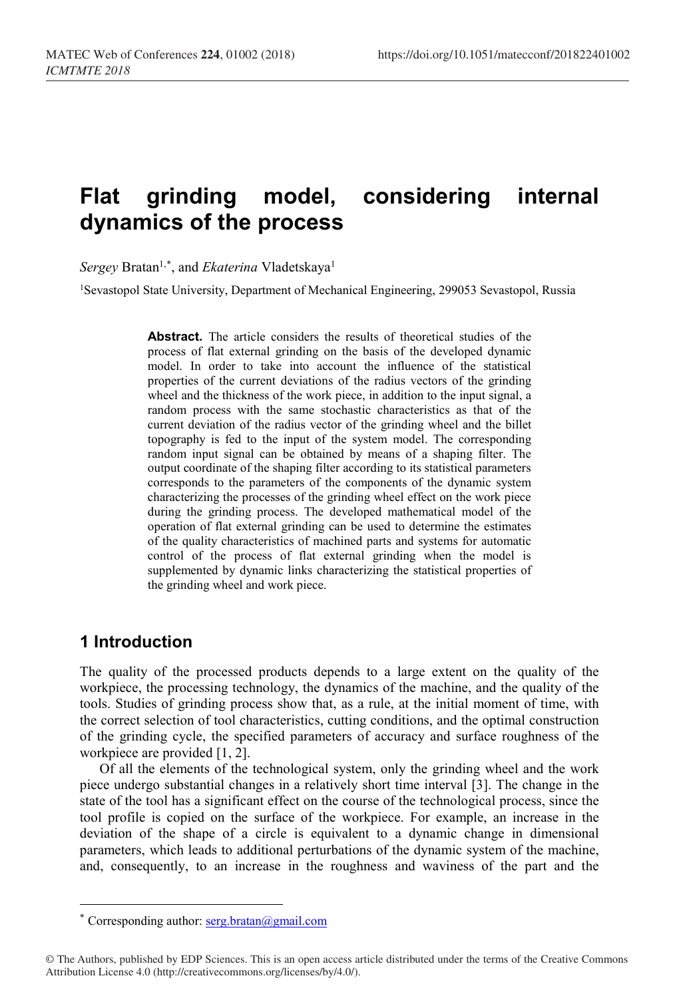# **Flat grinding model, considering internal dynamics of the process**

 $Sergey$  Bratan<sup>1,[\\*](#page-0-0)</sup>, and *Ekaterina* Vladetskaya<sup>1</sup>

<sup>1</sup>Sevastopol State University, Department of Mechanical Engineering, 299053 Sevastopol, Russia

**Abstract.** The article considers the results of theoretical studies of the process of flat external grinding on the basis of the developed dynamic model. In order to take into account the influence of the statistical properties of the current deviations of the radius vectors of the grinding wheel and the thickness of the work piece, in addition to the input signal, a random process with the same stochastic characteristics as that of the current deviation of the radius vector of the grinding wheel and the billet topography is fed to the input of the system model. The corresponding random input signal can be obtained by means of a shaping filter. The output coordinate of the shaping filter according to its statistical parameters corresponds to the parameters of the components of the dynamic system characterizing the processes of the grinding wheel effect on the work piece during the grinding process. The developed mathematical model of the operation of flat external grinding can be used to determine the estimates of the quality characteristics of machined parts and systems for automatic control of the process of flat external grinding when the model is supplemented by dynamic links characterizing the statistical properties of the grinding wheel and work piece.

## **1 Introduction**

 $\overline{a}$ 

The quality of the processed products depends to a large extent on the quality of the workpiece, the processing technology, the dynamics of the machine, and the quality of the tools. Studies of grinding process show that, as a rule, at the initial moment of time, with the correct selection of tool characteristics, cutting conditions, and the optimal construction of the grinding cycle, the specified parameters of accuracy and surface roughness of the workpiece are provided [1, 2].

Of all the elements of the technological system, only the grinding wheel and the work piece undergo substantial changes in a relatively short time interval [3]. The change in the state of the tool has a significant effect on the course of the technological process, since the tool profile is copied on the surface of the workpiece. For example, an increase in the deviation of the shape of a circle is equivalent to a dynamic change in dimensional parameters, which leads to additional perturbations of the dynamic system of the machine, and, consequently, to an increase in the roughness and waviness of the part and the

<sup>\*</sup> Corresponding author:  $\frac{\text{serg.bratan}(a)\text{gmail.com}}{a}$ 

<span id="page-0-0"></span><sup>©</sup> The Authors, published by EDP Sciences. This is an open access article distributed under the terms of the Creative Commons Attribution License 4.0 (http://creativecommons.org/licenses/by/4.0/).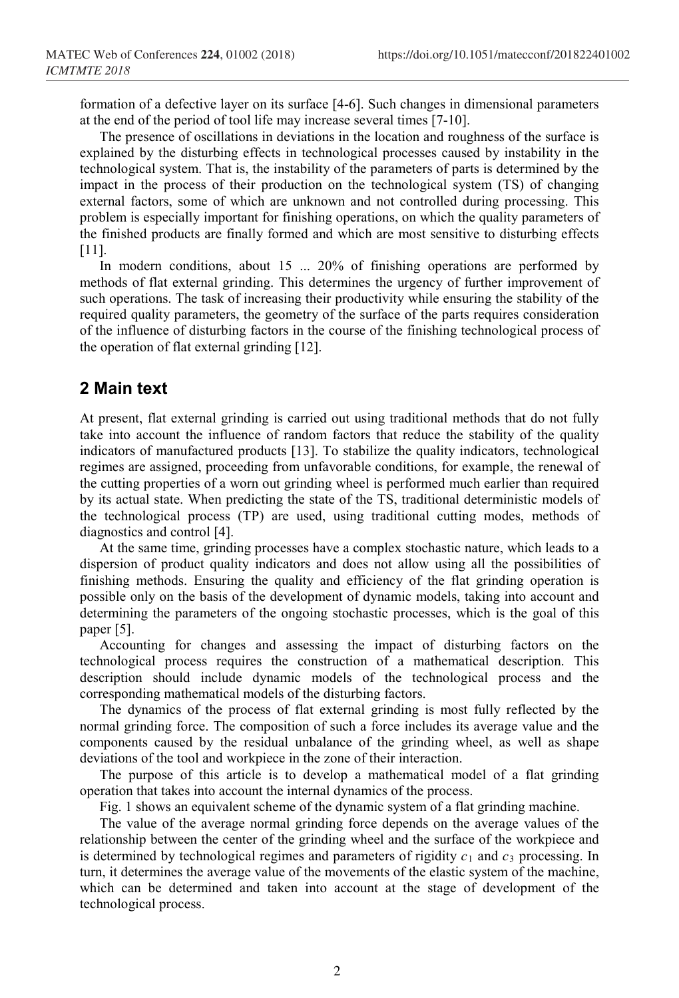formation of a defective layer on its surface [4-6]. Such changes in dimensional parameters at the end of the period of tool life may increase several times [7-10].

The presence of oscillations in deviations in the location and roughness of the surface is explained by the disturbing effects in technological processes caused by instability in the technological system. That is, the instability of the parameters of parts is determined by the impact in the process of their production on the technological system (TS) of changing external factors, some of which are unknown and not controlled during processing. This problem is especially important for finishing operations, on which the quality parameters of the finished products are finally formed and which are most sensitive to disturbing effects [11].

In modern conditions, about 15 ... 20% of finishing operations are performed by methods of flat external grinding. This determines the urgency of further improvement of such operations. The task of increasing their productivity while ensuring the stability of the required quality parameters, the geometry of the surface of the parts requires consideration of the influence of disturbing factors in the course of the finishing technological process of the operation of flat external grinding [12].

#### **2 Main text**

At present, flat external grinding is carried out using traditional methods that do not fully take into account the influence of random factors that reduce the stability of the quality indicators of manufactured products [13]. To stabilize the quality indicators, technological regimes are assigned, proceeding from unfavorable conditions, for example, the renewal of the cutting properties of a worn out grinding wheel is performed much earlier than required by its actual state. When predicting the state of the TS, traditional deterministic models of the technological process (TP) are used, using traditional cutting modes, methods of diagnostics and control [4].

At the same time, grinding processes have a complex stochastic nature, which leads to a dispersion of product quality indicators and does not allow using all the possibilities of finishing methods. Ensuring the quality and efficiency of the flat grinding operation is possible only on the basis of the development of dynamic models, taking into account and determining the parameters of the ongoing stochastic processes, which is the goal of this paper [5].

Accounting for changes and assessing the impact of disturbing factors on the technological process requires the construction of a mathematical description. This description should include dynamic models of the technological process and the corresponding mathematical models of the disturbing factors.

The dynamics of the process of flat external grinding is most fully reflected by the normal grinding force. The composition of such a force includes its average value and the components caused by the residual unbalance of the grinding wheel, as well as shape deviations of the tool and workpiece in the zone of their interaction.

The purpose of this article is to develop a mathematical model of a flat grinding operation that takes into account the internal dynamics of the process.

Fig. 1 shows an equivalent scheme of the dynamic system of a flat grinding machine.

The value of the average normal grinding force depends on the average values of the relationship between the center of the grinding wheel and the surface of the workpiece and is determined by technological regimes and parameters of rigidity  $c_1$  and  $c_3$  processing. In turn, it determines the average value of the movements of the elastic system of the machine, which can be determined and taken into account at the stage of development of the technological process.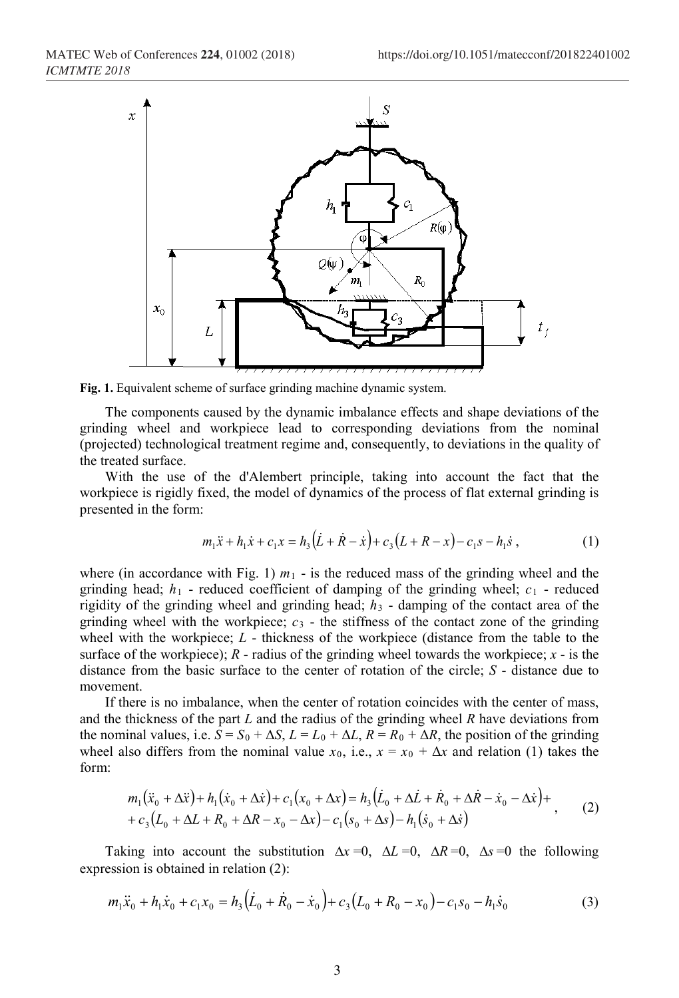

**Fig. 1.** Equivalent scheme of surface grinding machine dynamic system.

The components caused by the dynamic imbalance effects and shape deviations of the grinding wheel and workpiece lead to corresponding deviations from the nominal (projected) technological treatment regime and, consequently, to deviations in the quality of the treated surface.

With the use of the d'Alembert principle, taking into account the fact that the workpiece is rigidly fixed, the model of dynamics of the process of flat external grinding is presented in the form:

$$
m_1\ddot{x} + h_1\dot{x} + c_1x = h_3(\dot{L} + \dot{R} - \dot{x}) + c_3(L + R - x) - c_1s - h_1\dot{s}, \qquad (1)
$$

where (in accordance with Fig. 1)  $m_1$  - is the reduced mass of the grinding wheel and the grinding head;  $h_1$  - reduced coefficient of damping of the grinding wheel;  $c_1$  - reduced rigidity of the grinding wheel and grinding head;  $h_3$  - damping of the contact area of the grinding wheel with the workpiece;  $c_3$  - the stiffness of the contact zone of the grinding wheel with the workpiece; *L* - thickness of the workpiece (distance from the table to the surface of the workpiece);  $R$  - radius of the grinding wheel towards the workpiece;  $x -$  is the distance from the basic surface to the center of rotation of the circle; *S* - distance due to movement.

If there is no imbalance, when the center of rotation coincides with the center of mass, and the thickness of the part *L* and the radius of the grinding wheel *R* have deviations from the nominal values, i.e.  $S = S_0 + \Delta S$ ,  $L = L_0 + \Delta L$ ,  $R = R_0 + \Delta R$ , the position of the grinding wheel also differs from the nominal value  $x_0$ , i.e.,  $x = x_0 + \Delta x$  and relation (1) takes the form:

$$
m_1(\ddot{x}_0 + \Delta \ddot{x}) + h_1(\dot{x}_0 + \Delta \dot{x}) + c_1(x_0 + \Delta x) = h_3(\dot{L}_0 + \Delta \dot{L} + \dot{R}_0 + \Delta \dot{R} - \dot{x}_0 - \Delta \dot{x}) + + c_3(L_0 + \Delta L + R_0 + \Delta R - x_0 - \Delta x) - c_1(s_0 + \Delta s) - h_1(\dot{s}_0 + \Delta \dot{s})
$$
\n(2)

Taking into account the substitution  $\Delta x = 0$ ,  $\Delta L = 0$ ,  $\Delta R = 0$ ,  $\Delta s = 0$  the following expression is obtained in relation (2):

$$
m_1\ddot{x}_0 + h_1\dot{x}_0 + c_1x_0 = h_3(\dot{L}_0 + \dot{R}_0 - \dot{x}_0) + c_3(L_0 + R_0 - x_0) - c_1s_0 - h_1\dot{s}_0
$$
\n(3)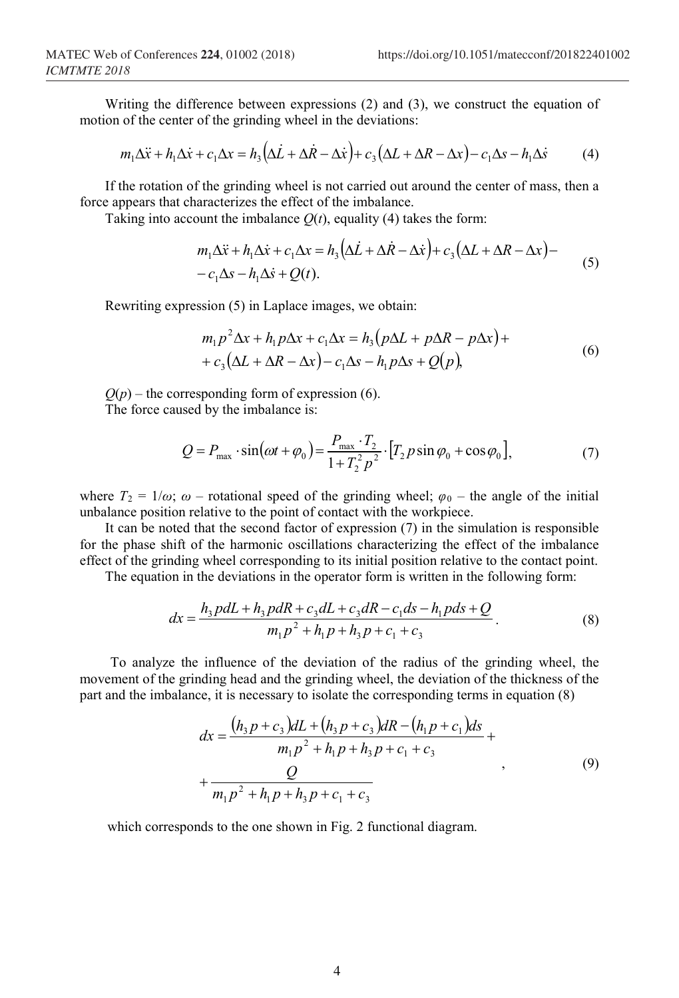Writing the difference between expressions (2) and (3), we construct the equation of motion of the center of the grinding wheel in the deviations:

$$
m_1 \Delta \ddot{x} + h_1 \Delta \dot{x} + c_1 \Delta x = h_3 \left( \Delta \dot{L} + \Delta \dot{R} - \Delta \dot{x} \right) + c_3 \left( \Delta L + \Delta R - \Delta x \right) - c_1 \Delta s - h_1 \Delta \dot{s} \tag{4}
$$

If the rotation of the grinding wheel is not carried out around the center of mass, then a force appears that characterizes the effect of the imbalance.

 $\mathcal{L}$ 

Taking into account the imbalance  $O(t)$ , equality (4) takes the form:

$$
m_1 \Delta \ddot{x} + h_1 \Delta \dot{x} + c_1 \Delta x = h_3 \left( \Delta \dot{L} + \Delta \dot{R} - \Delta \dot{x} \right) + c_3 \left( \Delta L + \Delta R - \Delta x \right) -
$$
  
- c<sub>1</sub> \Delta s - h<sub>1</sub> \Delta \dot{s} + Q(t). (5)

Rewriting expression (5) in Laplace images, we obtain:

$$
m_1 p^2 \Delta x + h_1 p \Delta x + c_1 \Delta x = h_3 (p \Delta L + p \Delta R - p \Delta x) +
$$
  
+ 
$$
c_3 (\Delta L + \Delta R - \Delta x) - c_1 \Delta s - h_1 p \Delta s + Q(p),
$$
 (6)

 $Q(p)$  – the corresponding form of expression (6). The force caused by the imbalance is:

$$
Q = P_{\text{max}} \cdot \sin(\omega t + \varphi_0) = \frac{P_{\text{max}} \cdot T_2}{1 + T_2^2 p^2} \cdot [T_2 p \sin \varphi_0 + \cos \varphi_0],
$$
 (7)

where  $T_2 = 1/\omega$ ;  $\omega$  – rotational speed of the grinding wheel;  $\varphi_0$  – the angle of the initial unbalance position relative to the point of contact with the workpiece.

It can be noted that the second factor of expression (7) in the simulation is responsible for the phase shift of the harmonic oscillations characterizing the effect of the imbalance effect of the grinding wheel corresponding to its initial position relative to the contact point.

The equation in the deviations in the operator form is written in the following form:

$$
dx = \frac{h_3 \, pdL + h_3 \, pdR + c_3 dL + c_3 dR - c_1 ds - h_1 \, pds + Q}{m_1 \, p^2 + h_1 \, p + h_3 \, p + c_1 + c_3}.
$$
\n<sup>(8)</sup>

To analyze the influence of the deviation of the radius of the grinding wheel, the movement of the grinding head and the grinding wheel, the deviation of the thickness of the part and the imbalance, it is necessary to isolate the corresponding terms in equation (8)

$$
dx = \frac{(h_3 p + c_3) dL + (h_3 p + c_3) dR - (h_1 p + c_1) ds}{m_1 p^2 + h_1 p + h_3 p + c_1 + c_3} + \frac{Q}{m_1 p^2 + h_1 p + h_3 p + c_1 + c_3}
$$
\n(9)

which corresponds to the one shown in Fig. 2 functional diagram.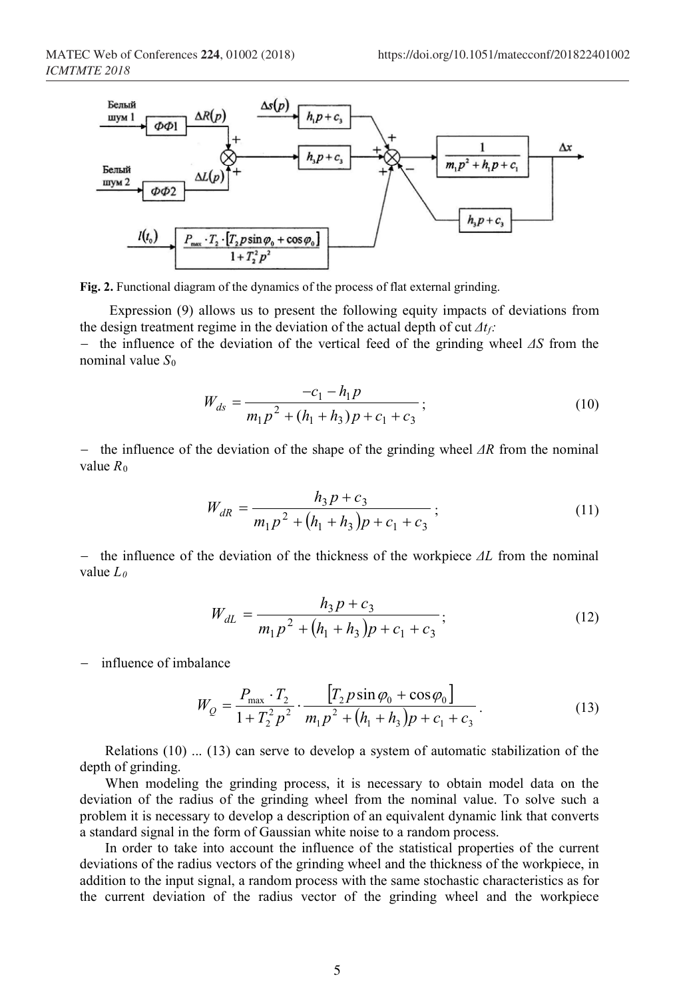

**Fig. 2.** Functional diagram of the dynamics of the process of flat external grinding.

Expression (9) allows us to present the following equity impacts of deviations from the design treatment regime in the deviation of the actual depth of cut *Δtf:*

− the influence of the deviation of the vertical feed of the grinding wheel *ΔS* from the nominal value *S*<sup>0</sup>

$$
W_{ds} = \frac{-c_1 - h_1 p}{m_1 p^2 + (h_1 + h_3) p + c_1 + c_3};
$$
\n(10)

− the influence of the deviation of the shape of the grinding wheel *ΔR* from the nominal value  $R_0$ 

$$
W_{dR} = \frac{h_3 p + c_3}{m_1 p^2 + (h_1 + h_3)p + c_1 + c_3};
$$
\n(11)

− the influence of the deviation of the thickness of the workpiece *ΔL* from the nominal value *L0*

$$
W_{dL} = \frac{h_3 p + c_3}{m_1 p^2 + (h_1 + h_3)p + c_1 + c_3};
$$
\n(12)

− influence of imbalance

$$
W_Q = \frac{P_{\text{max}} \cdot T_2}{1 + T_2^2 p^2} \cdot \frac{[T_2 p \sin \varphi_0 + \cos \varphi_0]}{m_1 p^2 + (h_1 + h_3) p + c_1 + c_3}.
$$
 (13)

Relations (10) ... (13) can serve to develop a system of automatic stabilization of the depth of grinding.

When modeling the grinding process, it is necessary to obtain model data on the deviation of the radius of the grinding wheel from the nominal value. To solve such a problem it is necessary to develop a description of an equivalent dynamic link that converts a standard signal in the form of Gaussian white noise to a random process.

In order to take into account the influence of the statistical properties of the current deviations of the radius vectors of the grinding wheel and the thickness of the workpiece, in addition to the input signal, a random process with the same stochastic characteristics as for the current deviation of the radius vector of the grinding wheel and the workpiece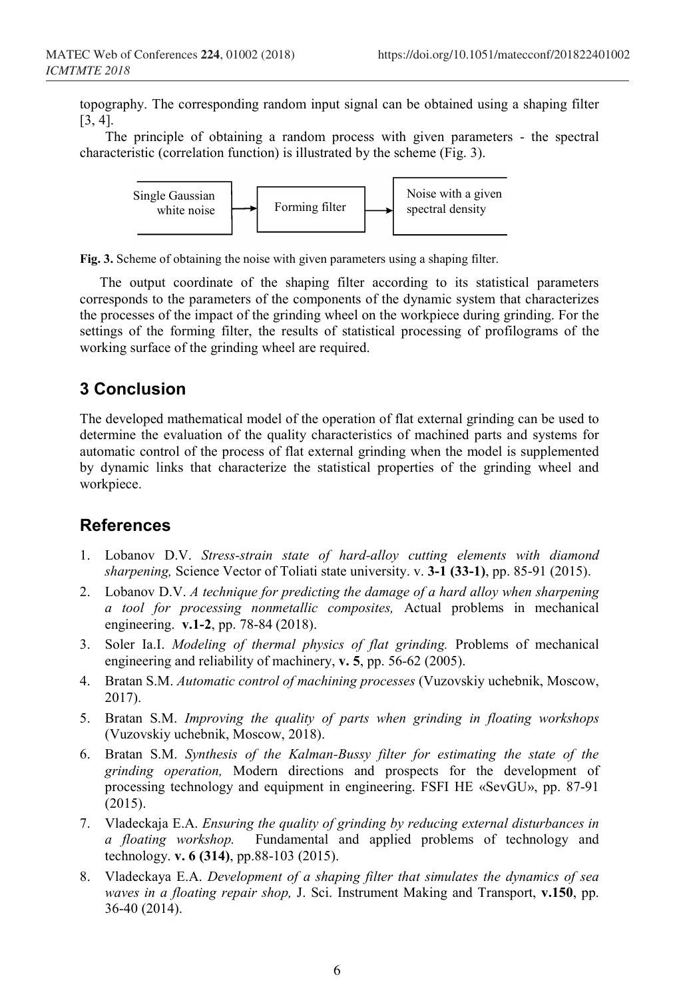topography. The corresponding random input signal can be obtained using a shaping filter [3, 4].

The principle of obtaining a random process with given parameters - the spectral characteristic (correlation function) is illustrated by the scheme (Fig. 3).



**Fig. 3.** Scheme of obtaining the noise with given parameters using a shaping filter.

The output coordinate of the shaping filter according to its statistical parameters corresponds to the parameters of the components of the dynamic system that characterizes the processes of the impact of the grinding wheel on the workpiece during grinding. For the settings of the forming filter, the results of statistical processing of profilograms of the working surface of the grinding wheel are required.

# **3 Conclusion**

The developed mathematical model of the operation of flat external grinding can be used to determine the evaluation of the quality characteristics of machined parts and systems for automatic control of the process of flat external grinding when the model is supplemented by dynamic links that characterize the statistical properties of the grinding wheel and workpiece.

### **References**

- 1. Lobanov D.V. *Stress-strain state of hard-alloy cutting elements with diamond sharpening,* Science Vector of Toliati state university. v. **3-1 (33-1)**, pp. 85-91 (2015).
- 2. Lobanov D.V. *A technique for predicting the damage of a hard alloy when sharpening a tool for processing nonmetallic composites,* Actual problems in mechanical engineering. **v.1-2**, pp. 78-84 (2018).
- 3. Soler Ia.I. *Modeling of thermal physics of flat grinding.* Problems of mechanical engineering and reliability of machinery, **v. 5**, pp. 56-62 (2005).
- 4. Bratan S.M. *Automatic control of machining processes* (Vuzovskiy uchebnik, Moscow, 2017).
- 5. Bratan S.M. *Improving the quality of parts when grinding in floating workshops*  (Vuzovskiy uchebnik, Moscow, 2018).
- 6. Bratan S.M. *Synthesis of the Kalman-Bussy filter for estimating the state of the grinding operation,* Modern directions and prospects for the development of processing technology and equipment in engineering. FSFI HE «SevGU», pp. 87-91 (2015).
- 7. Vladeckaja E.A. *Ensuring the quality of grinding by reducing external disturbances in a floating workshop.* Fundamental and applied problems of technology and technology. **v. 6 (314)**, pp.88-103 (2015).
- 8. Vladeckaya E.A. *Development of a shaping filter that simulates the dynamics of sea waves in a floating repair shop,* J. Sci. Instrument Making and Transport, **v.150**, pp. 36-40 (2014).